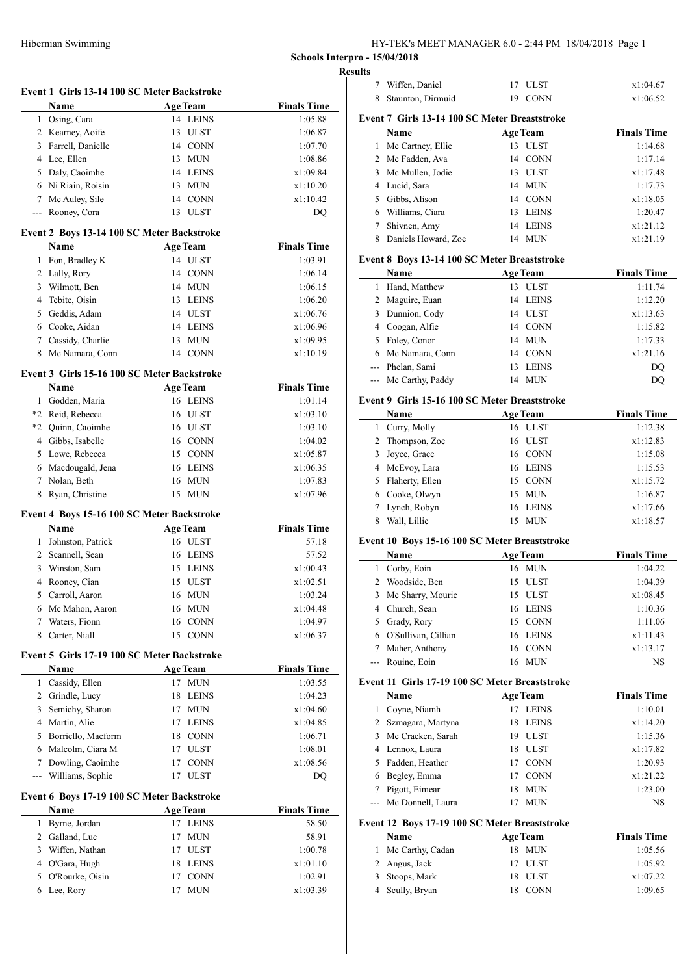HY-TEK's MEET MANAGER 6.0 - 2:44 PM 18/04/2018 Page 1

**Schools Interpro - 15/04/2018 Resu** 

|     | Event 1 Girls 13-14 100 SC Meter Backstroke |                             |                               |
|-----|---------------------------------------------|-----------------------------|-------------------------------|
|     | Name<br>1 Osing, Cara                       | <b>Age Team</b><br>14 LEINS | <b>Finals Time</b><br>1:05.88 |
|     |                                             |                             |                               |
|     | 2 Kearney, Aoife                            | 13 ULST                     | 1:06.87                       |
|     | 3 Farrell, Danielle                         | 14 CONN                     | 1:07.70                       |
|     | 4 Lee, Ellen                                | 13 MUN                      | 1:08.86                       |
|     | 5 Daly, Caoimhe                             | 14 LEINS                    | x1:09.84                      |
|     | 6 Ni Riain, Roisin                          | 13 MUN                      | x1:10.20                      |
|     | 7 Mc Auley, Sile                            | 14 CONN                     | x1:10.42                      |
|     | --- Rooney, Cora                            | 13 ULST                     | DO                            |
|     | Event 2 Boys 13-14 100 SC Meter Backstroke  |                             |                               |
|     | Name                                        | <b>Age Team</b>             | <b>Finals Time</b>            |
|     | 1 Fon, Bradley K                            | 14 ULST                     | 1:03.91                       |
|     | 2 Lally, Rory                               | 14 CONN                     | 1:06.14                       |
|     | 3 Wilmott, Ben                              | 14 MUN                      | 1:06.15                       |
|     | 4 Tebite, Oisin                             | 13 LEINS                    | 1:06.20                       |
|     | 5 Geddis, Adam                              | 14 ULST                     | x1:06.76                      |
|     | 6 Cooke, Aidan                              | 14 LEINS                    | x1:06.96                      |
|     | 7 Cassidy, Charlie                          | 13 MUN                      | x1:09.95                      |
|     | 8 Mc Namara, Conn                           | 14 CONN                     | x1:10.19                      |
|     | Event 3 Girls 15-16 100 SC Meter Backstroke |                             |                               |
|     | Name                                        | <b>Age Team</b>             | <b>Finals Time</b>            |
|     | 1 Godden, Maria                             | 16 LEINS                    | 1:01.14                       |
|     | *2 Reid, Rebecca                            | 16 ULST                     | x1:03.10                      |
|     | *2 Quinn, Caoimhe                           | 16 ULST                     | 1:03.10                       |
|     | 4 Gibbs, Isabelle                           | 16 CONN                     | 1:04.02                       |
|     | 5 Lowe, Rebecca                             | 15 CONN                     |                               |
|     |                                             |                             | x1:05.87                      |
|     | 6 Macdougald, Jena                          | 16 LEINS                    | x1:06.35                      |
|     | 7 Nolan, Beth                               | 16 MUN                      | 1:07.83                       |
| 8   | Ryan, Christine                             | 15 MUN                      | x1:07.96                      |
|     | Event 4 Boys 15-16 100 SC Meter Backstroke  |                             |                               |
|     | Name                                        | <b>Age Team</b>             | <b>Finals Time</b>            |
|     | 1 Johnston, Patrick                         | 16 ULST                     | 57.18                         |
|     | 2 Scannell, Sean                            | 16 LEINS                    | 57.52                         |
|     | 3 Winston, Sam                              | 15 LEINS                    | x1:00.43                      |
|     | 4 Rooney, Cian                              | 15<br><b>ULST</b>           | x1:02.51                      |
| 5   | Carroll, Aaron                              | 16 MUN                      | 1:03.24                       |
| 6   | Mc Mahon, Aaron                             | 16 MUN                      | x1:04.48                      |
| 7   | Waters, Fionn                               | 16<br><b>CONN</b>           | 1:04.97                       |
| 8   | Carter, Niall                               | 15<br>CONN                  | x1:06.37                      |
|     | Event 5 Girls 17-19 100 SC Meter Backstroke |                             |                               |
|     | Name                                        | <b>Age Team</b>             | <b>Finals Time</b>            |
|     | 1 Cassidy, Ellen                            | 17 MUN                      | 1:03.55                       |
|     | 2 Grindle, Lucy                             | 18 LEINS                    | 1:04.23                       |
|     | 3 Semichy, Sharon                           | 17 MUN                      | x1:04.60                      |
|     | 4 Martin, Alie                              | 17 LEINS                    | x1:04.85                      |
|     | 5 Borriello, Maeform                        | 18 CONN                     | 1:06.71                       |
|     | 6 Malcolm, Ciara M                          | 17 ULST                     | 1:08.01                       |
|     | 7 Dowling, Caoimhe                          | 17 CONN                     | x1:08.56                      |
|     |                                             |                             | DQ                            |
|     |                                             |                             |                               |
| --- | Williams, Sophie                            | 17 ULST                     |                               |
|     | Event 6 Boys 17-19 100 SC Meter Backstroke  |                             |                               |
|     | Name                                        | <b>Age Team</b>             | <b>Finals Time</b>            |
|     | 1 Byrne, Jordan                             | 17<br><b>LEINS</b>          | 58.50                         |
|     | 2 Galland, Luc                              | 17<br>MUN                   | 58.91                         |
|     | 3 Wiffen, Nathan                            | 17 ULST                     | 1:00.78                       |
|     | 4 O'Gara, Hugh                              | 18 LEINS                    | x1:01.10                      |
|     | 5 O'Rourke, Oisin<br>6 Lee, Rory            | 17 CONN<br>17 MUN           | 1:02.91<br>x1:03.39           |

| ılts                |                                               |                 |                        |                     |
|---------------------|-----------------------------------------------|-----------------|------------------------|---------------------|
| $\overline{7}$      | Wiffen, Daniel                                |                 | 17 ULST                | x1:04.67            |
| 8                   | Staunton, Dirmuid                             | 19              | <b>CONN</b>            | x1:06.52            |
|                     | Event 7 Girls 13-14 100 SC Meter Breaststroke |                 |                        |                     |
|                     | Name                                          | <b>Age Team</b> |                        | <b>Finals Time</b>  |
| 1                   | Mc Cartney, Ellie                             | 13              | <b>ULST</b>            | 1:14.68             |
| $\overline{c}$      | Mc Fadden, Ava                                | 14              | <b>CONN</b>            | 1:17.14             |
| 3                   | Mc Mullen, Jodie                              | 13              | <b>ULST</b>            | x1:17.48            |
| 4                   | Lucid, Sara                                   | 14              | <b>MUN</b>             | 1:17.73             |
| 5                   | Gibbs, Alison                                 |                 | 14 CONN                | x1:18.05            |
|                     | 6 Williams, Ciara                             | 13              | <b>LEINS</b>           | 1:20.47             |
| 7                   | Shivnen, Amy                                  | 14              | <b>LEINS</b>           | x1:21.12            |
| 8                   | Daniels Howard, Zoe                           |                 | 14 MUN                 | x1:21.19            |
|                     | Event 8 Boys 13-14 100 SC Meter Breaststroke  |                 |                        |                     |
|                     | <b>Name</b>                                   | <b>Age Team</b> |                        | <b>Finals Time</b>  |
|                     | 1 Hand, Matthew                               |                 | 13 ULST                | 1:11.74             |
| 2                   | Maguire, Euan                                 | 14              | <b>LEINS</b>           | 1:12.20             |
| 3                   | Dunnion, Cody                                 | 14              | <b>ULST</b>            | x1:13.63            |
| 4                   | Coogan, Alfie                                 | 14              | <b>CONN</b>            | 1:15.82             |
| 5                   | Foley, Conor                                  | 14              | <b>MUN</b>             | 1:17.33             |
| 6                   | Mc Namara, Conn                               | 14              | <b>CONN</b>            | x1:21.16            |
| ---                 | Phelan, Sami                                  | 13              | <b>LEINS</b>           | DQ                  |
| ---                 | Mc Carthy, Paddy                              | 14              | <b>MUN</b>             | <b>DQ</b>           |
|                     |                                               |                 |                        |                     |
|                     | Event 9 Girls 15-16 100 SC Meter Breaststroke |                 |                        |                     |
|                     | <b>Name</b>                                   | <b>Age Team</b> |                        | <b>Finals Time</b>  |
| 1<br>$\overline{c}$ | Curry, Molly                                  | 16              | 16 ULST                | 1:12.38             |
| 3                   | Thompson, Zoe                                 |                 | <b>ULST</b><br>16 CONN | x1:12.83<br>1:15.08 |
| $\overline{4}$      | Joyce, Grace<br>McEvoy, Lara                  |                 | 16 LEINS               | 1:15.53             |
| 5                   | Flaherty, Ellen                               |                 | 15 CONN                | x1:15.72            |
| 6                   | Cooke, Olwyn                                  | 15              | <b>MUN</b>             | 1:16.87             |
| 7                   | Lynch, Robyn                                  | 16              | <b>LEINS</b>           | x1:17.66            |
| 8                   | Wall, Lillie                                  | 15              | <b>MUN</b>             | x1:18.57            |
|                     |                                               |                 |                        |                     |
|                     | Event 10 Boys 15-16 100 SC Meter Breaststroke |                 |                        |                     |
|                     | Name                                          | <b>Age Team</b> |                        | <b>Finals Time</b>  |
| 1                   | Corby, Eoin                                   |                 | 16 MUN                 | 1:04.22             |
|                     | 2 Woodside Ben                                |                 | 15 ULST                | 1:04.39             |

| 2 Woodside, Ben       | 15 ULST  | 1:04.39  |
|-----------------------|----------|----------|
| 3 Mc Sharry, Mouric   | 15 ULST  | x1:08.45 |
| 4 Church, Sean        | 16 LEINS | 1:10.36  |
| 5 Grady, Rory         | 15 CONN  | 1:11.06  |
| 6 O'Sullivan, Cillian | 16 LEINS | x1:11.43 |
| 7 Maher, Anthony      | 16 CONN  | x1:13.17 |
| --- Rouine, Eoin      | 16 MUN   | NS       |
|                       |          |          |

## **Event 11 Girls 17-19 100 SC Meter Breaststroke**

|    | Name                  |    | <b>Age Team</b> | <b>Finals Time</b> |
|----|-----------------------|----|-----------------|--------------------|
| 1  | Coyne, Niamh          | 17 | LEINS           | 1:10.01            |
|    | 2 Szmagara, Martyna   | 18 | <b>LEINS</b>    | x1:14.20           |
|    | 3 Mc Cracken, Sarah   | 19 | <b>ULST</b>     | 1:15.36            |
|    | 4 Lennox, Laura       | 18 | <b>ULST</b>     | x1:17.82           |
| 5. | Fadden, Heather       | 17 | <b>CONN</b>     | 1:20.93            |
| 6  | Begley, Emma          | 17 | <b>CONN</b>     | x1:21.22           |
|    | Pigott, Eimear        | 18 | <b>MUN</b>      | 1:23.00            |
|    | --- Mc Donnell, Laura |    | <b>MUN</b>      | <b>NS</b>          |

# **Event 12 Boys 17-19 100 SC Meter Breaststroke**

| <b>Name</b>        | <b>Age Team</b> | <b>Finals Time</b> |
|--------------------|-----------------|--------------------|
| 1 Mc Carthy, Cadan | 18 MUN          | 1:05.56            |
| 2 Angus, Jack      | 17 ULST         | 1:05.92            |
| 3 Stoops, Mark     | 18 ULST         | x1:07.22           |
| 4 Scully, Bryan    | 18 CONN         | 1:09.65            |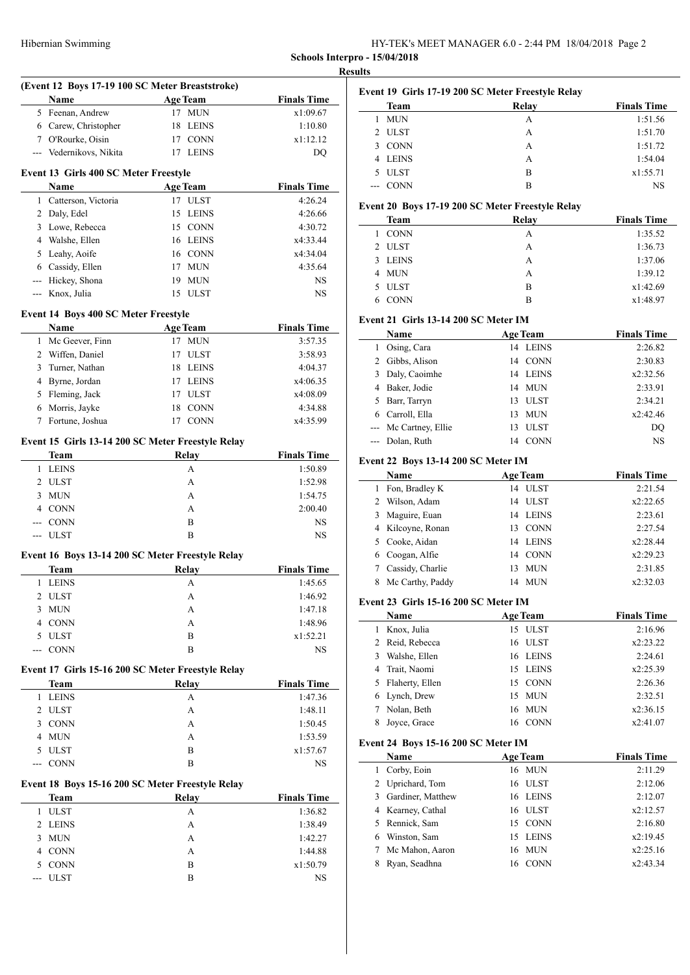HY-TEK's MEET MANAGER 6.0 - 2:44 PM 18/04/2018 Page 2 **Schools Interpro - 15/04/2018**

**Results**

|   |                                             | (Event 12 Boys 17-19 100 SC Meter Breaststroke)   |                    |
|---|---------------------------------------------|---------------------------------------------------|--------------------|
|   | Name                                        | <b>Age Team</b>                                   | <b>Finals Time</b> |
|   | 5 Feenan, Andrew                            | 17 MUN                                            | x1:09.67           |
|   | 6 Carew, Christopher                        | 18 LEINS                                          | 1:10.80            |
|   | 7 O'Rourke, Oisin                           | 17 CONN                                           | x1:12.12           |
|   | --- Vedernikovs, Nikita                     | 17 LEINS                                          | DQ                 |
|   | Event 13 Girls 400 SC Meter Freestyle       |                                                   |                    |
|   | Name                                        | <b>Age Team</b>                                   | <b>Finals Time</b> |
|   | 1 Catterson, Victoria                       | 17 ULST                                           | 4:26.24            |
|   | 2 Daly, Edel                                | LEINS<br>15                                       | 4:26.66            |
|   | 3 Lowe, Rebecca                             | 15 CONN                                           | 4:30.72            |
|   | 4 Walshe, Ellen                             | 16 LEINS                                          | x4:33.44           |
|   | 5 Leahy, Aoife                              | 16 CONN                                           | x4:34.04           |
|   | 6 Cassidy, Ellen                            | 17 MUN                                            | 4:35.64            |
|   | --- Hickey, Shona                           | 19 MUN                                            | NS                 |
|   | --- Knox, Julia                             | 15 ULST                                           | NS                 |
|   | <b>Event 14 Boys 400 SC Meter Freestyle</b> |                                                   |                    |
|   | Name                                        | <b>Age Team</b>                                   | <b>Finals Time</b> |
|   | 1 Mc Geever, Finn                           | 17 MUN                                            | 3:57.35            |
|   | 2 Wiffen, Daniel                            | 17 ULST                                           | 3:58.93            |
| 3 | Turner, Nathan                              | 18 LEINS                                          | 4:04.37            |
|   | 4 Byrne, Jordan                             | LEINS<br>17                                       | x4:06.35           |
|   | 5 Fleming, Jack                             | 17<br>ULST                                        | x4:08.09           |
| 6 | Morris, Jayke                               | 18 CONN                                           | 4:34.88            |
| 7 | Fortune, Joshua                             | 17 CONN                                           | x4:35.99           |
|   |                                             |                                                   |                    |
|   | <b>Team</b>                                 | Event 15 Girls 13-14 200 SC Meter Freestyle Relay |                    |
|   |                                             | <b>Relay</b>                                      | <b>Finals Time</b> |
|   | 1 LEINS                                     | A                                                 | 1:50.89            |
|   | 2 ULST                                      | A                                                 | 1:52.98            |
|   | 3 MUN                                       | A                                                 | 1:54.75            |
|   | 4 CONN                                      | A                                                 | 2:00.40            |
|   | --- CONN                                    | B                                                 | NS.                |
|   | --- ULST                                    | B                                                 | NS                 |
|   |                                             | Event 16 Boys 13-14 200 SC Meter Freestyle Relay  |                    |
|   | Team                                        | <b>Relay</b>                                      | <b>Finals Time</b> |
|   | 1 LEINS                                     | A                                                 | 1:45.65            |
| 2 | ULST                                        | А                                                 | 1:46.92            |
| 3 | <b>MUN</b>                                  | A                                                 | 1:47.18            |
|   | 4 CONN                                      | A                                                 | 1:48.96            |
|   | 5 ULST                                      | B                                                 | x1:52.21           |
|   | <b>CONN</b>                                 | B                                                 | NS.                |
|   |                                             | Event 17 Girls 15-16 200 SC Meter Freestyle Relay |                    |
|   | <b>Team</b>                                 | <b>Relay</b>                                      | <b>Finals Time</b> |
|   | 1 LEINS                                     | A                                                 | 1:47.36            |
|   | 2 ULST                                      | A                                                 | 1:48.11            |
|   |                                             | A                                                 | 1:50.45            |
|   |                                             |                                                   |                    |
|   | 3 CONN                                      |                                                   |                    |
|   | 4 MUN                                       | A                                                 | 1:53.59            |
|   | 5 ULST                                      | B                                                 | x1:57.67           |
|   | <b>CONN</b>                                 | B                                                 | NS                 |
|   |                                             | Event 18 Boys 15-16 200 SC Meter Freestyle Relay  |                    |
|   | <b>Team</b>                                 | <b>Relay</b>                                      | <b>Finals Time</b> |
|   | <b>ULST</b>                                 | A                                                 | 1:36.82            |
| 1 | 2 LEINS                                     | A                                                 | 1:38.49            |
| 3 | <b>MUN</b>                                  | A                                                 | 1:42.27            |
|   | 4 CONN                                      | A                                                 | 1:44.88            |
|   | 5 CONN<br><b>ULST</b>                       | B                                                 | x1:50.79           |

| Event 19 Girls 17-19 200 SC Meter Freestyle Relay |             |       |                    |  |  |
|---------------------------------------------------|-------------|-------|--------------------|--|--|
|                                                   | Team        | Relay | <b>Finals Time</b> |  |  |
|                                                   | <b>MUN</b>  | А     | 1:51.56            |  |  |
|                                                   | 2 ULST      | A     | 1:51.70            |  |  |
| 3                                                 | <b>CONN</b> | А     | 1:51.72            |  |  |
| 4                                                 | LEINS       | A     | 1:54.04            |  |  |
|                                                   | <b>ULST</b> | R     | x1:55.71           |  |  |
|                                                   | <b>CONN</b> | R     | NS                 |  |  |

### **Event 20 Boys 17-19 200 SC Meter Freestyle Relay**

| Team        | Relay | <b>Finals Time</b> |
|-------------|-------|--------------------|
| <b>CONN</b> | А     | 1:35.52            |
| 2 ULST      | A     | 1:36.73            |
| 3 LEINS     | A     | 1:37.06            |
| 4 MUN       | A     | 1:39.12            |
| 5 ULST      | B     | x1:42.69           |
| 6 CONN      | в     | x1:48.97           |
|             |       |                    |

# **Event 21 Girls 13-14 200 SC Meter IM**

|   | <b>Name</b>           |    | <b>Age Team</b> | <b>Finals Time</b> |
|---|-----------------------|----|-----------------|--------------------|
|   | Osing, Cara           |    | 14 LEINS        | 2:26.82            |
|   | Gibbs, Alison         | 14 | <b>CONN</b>     | 2:30.83            |
|   | Daly, Caoimhe         | 14 | <b>LEINS</b>    | x2:32.56           |
|   | Baker, Jodie          | 14 | - MUN           | 2:33.91            |
| 5 | Barr, Tarryn          | 13 | <b>ULST</b>     | 2:34.21            |
|   | Carroll, Ella         | 13 | <b>MUN</b>      | x2:42.46           |
|   | --- Mc Cartney, Ellie | 13 | <b>ULST</b>     | DO                 |
|   | --- Dolan, Ruth       | 14 | <b>CONN</b>     | <b>NS</b>          |
|   |                       |    |                 |                    |

#### **Event 22 Boys 13-14 200 SC Meter IM**

|    | <b>Name</b>       |    | <b>Age Team</b> | <b>Finals Time</b> |
|----|-------------------|----|-----------------|--------------------|
|    | Fon, Bradley K    | 14 | <b>ULST</b>     | 2:21.54            |
| 2  | Wilson, Adam      |    | 14 ULST         | x2:22.65           |
| 3  | Maguire, Euan     |    | 14 LEINS        | 2:23.61            |
|    | 4 Kilcoyne, Ronan | 13 | <b>CONN</b>     | 2:27.54            |
|    | 5 Cooke, Aidan    | 14 | <b>LEINS</b>    | x2:28.44           |
| 6. | Coogan, Alfie     | 14 | <b>CONN</b>     | x2:29.23           |
|    | Cassidy, Charlie  | 13 | <b>MUN</b>      | 2:31.85            |
| 8  | Mc Carthy, Paddy  | 14 | MUN             | x2:32.03           |

### **Event 23 Girls 15-16 200 SC Meter IM**

| Name                  | <b>Age Team</b> | <b>Finals Time</b> |
|-----------------------|-----------------|--------------------|
| Knox, Julia           | 15 ULST         | 2:16.96            |
| 2 Reid, Rebecca       | 16 ULST         | x2:23.22           |
| Walshe, Ellen         | 16 LEINS        | 2:24.61            |
| 4 Trait, Naomi        | 15 LEINS        | x2:25.39           |
| Flaherty, Ellen<br>5. | 15 CONN         | 2:26.36            |
| 6 Lynch, Drew         | 15 MUN          | 2:32.51            |
| Nolan, Beth           | 16 MUN          | x2:36.15           |
| Joyce, Grace          | 16 CONN         | x2:41.07           |

#### **Event 24 Boys 15-16 200 SC Meter IM**

|   | Name              | <b>Age Team</b> | <b>Finals Time</b> |
|---|-------------------|-----------------|--------------------|
|   | Corby, Eoin       | 16 MUN          | 2:11.29            |
|   | 2 Uprichard, Tom  | 16 ULST         | 2:12.06            |
| 3 | Gardiner, Matthew | 16 LEINS        | 2:12.07            |
|   | 4 Kearney, Cathal | 16 ULST         | x2:12.57           |
|   | 5 Rennick, Sam    | 15 CONN         | 2:16.80            |
|   | Winston, Sam      | 15 LEINS        | x2:19.45           |
|   | Mc Mahon, Aaron   | 16 MUN          | x2:25.16           |
|   | Ryan, Seadhna     | 16 CONN         | x2:43.34           |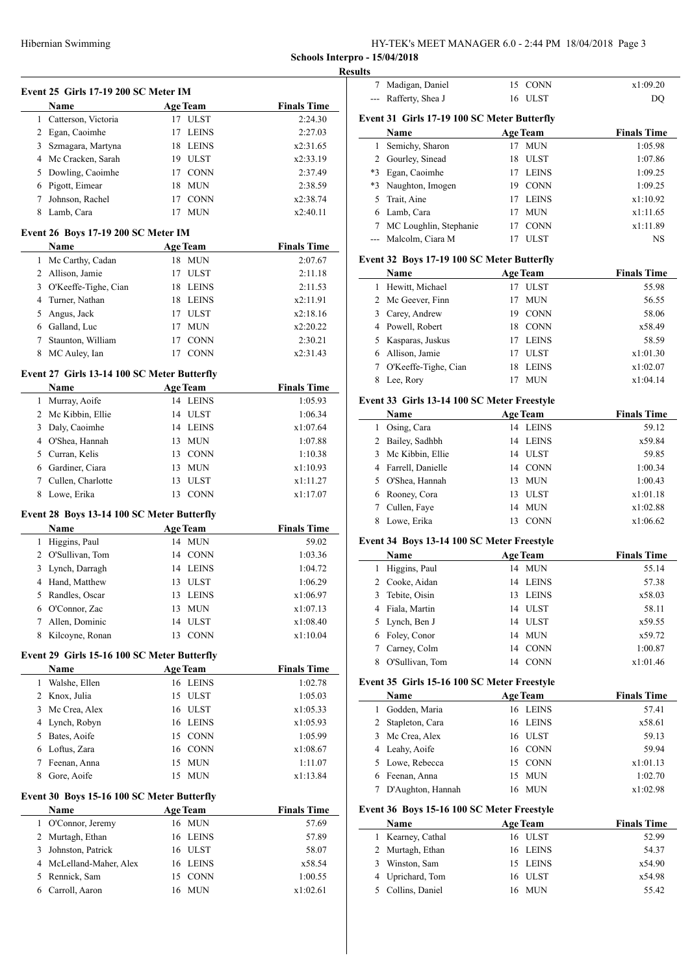HY-TEK's MEET MANAGER 6.0 - 2:44 PM 18/04/2018 Page 3

**Schools Interpro - 15/04/2018 Results**

|                | Event 25 Girls 17-19 200 SC Meter IM                |                                   |                      |
|----------------|-----------------------------------------------------|-----------------------------------|----------------------|
|                | Name                                                | <b>Age Team</b>                   | <b>Finals Time</b>   |
|                | 1 Catterson, Victoria                               | 17 ULST                           | 2:24.30              |
|                | 2 Egan, Caoimhe                                     | 17<br>LEINS                       | 2:27.03              |
|                | 3 Szmagara, Martyna                                 | 18 LEINS                          | x2:31.65             |
|                | 4 Mc Cracken, Sarah                                 | 19 ULST                           | x2:33.19             |
|                | 5 Dowling, Caoimhe                                  | 17 CONN                           | 2:37.49              |
|                | 6 Pigott, Eimear                                    | <b>MUN</b><br>18                  | 2:38.59              |
| $\tau$         | Johnson, Rachel                                     | 17<br><b>CONN</b>                 | x2:38.74             |
|                | 8 Lamb, Cara                                        | 17 MUN                            | x2:40.11             |
|                | Event 26 Boys 17-19 200 SC Meter IM                 |                                   |                      |
|                | Name                                                | <b>Age Team</b>                   | <b>Finals Time</b>   |
|                | 1 Mc Carthy, Cadan                                  | 18 MUN                            | 2:07.67              |
|                | 2 Allison, Jamie                                    | 17<br>ULST                        | 2:11.18              |
|                | 3 O'Keeffe-Tighe, Cian                              | 18<br><b>LEINS</b>                | 2:11.53              |
| $\overline{4}$ | Turner, Nathan                                      | <b>LEINS</b><br>18                | x2:11.91             |
| 5              | Angus, Jack                                         | 17 ULST                           | x2:18.16             |
|                | 6 Galland, Luc                                      | 17<br><b>MUN</b>                  | x2:20.22             |
|                | 7 Staunton, William                                 | 17 CONN                           | 2:30.21              |
| 8              | MC Auley, Ian                                       | 17 CONN                           | x2:31.43             |
|                | Event 27 Girls 13-14 100 SC Meter Butterfly         |                                   |                      |
|                | Name                                                | <b>Age Team</b>                   | <b>Finals Time</b>   |
|                | 1 Murray, Aoife                                     | 14 LEINS                          | 1:05.93              |
|                | 2 Mc Kibbin, Ellie                                  | 14 ULST                           | 1:06.34              |
| 3              | Daly, Caoimhe                                       | 14 LEINS                          | x1:07.64             |
|                | 4 O'Shea, Hannah                                    | <b>MUN</b><br>13                  | 1:07.88              |
|                | 5 Curran, Kelis                                     | 13 CONN                           | 1:10.38              |
|                | 6 Gardiner, Ciara                                   | <b>MUN</b><br>13                  | x1:10.93             |
| 7              | Cullen, Charlotte                                   | 13<br><b>ULST</b>                 | x1:11.27             |
| 8              | Lowe, Erika                                         | 13<br><b>CONN</b>                 | x1:17.07             |
|                | Event 28 Boys 13-14 100 SC Meter Butterfly          |                                   |                      |
|                | Name                                                | <b>Age Team</b>                   | <b>Finals Time</b>   |
|                | 1 Higgins, Paul                                     | 14 MUN                            | 59.02                |
|                | 2 O'Sullivan, Tom                                   | 14 CONN                           | 1:03.36              |
| 3              | Lynch, Darragh                                      | 14 LEINS                          | 1:04.72              |
| $\overline{4}$ | Hand, Matthew                                       | 13 ULST                           | 1:06.29              |
|                | 5 Randles, Oscar                                    | 13 LEINS                          | x1:06.97             |
|                | 6 O'Connor, Zac                                     | 13<br><b>MUN</b>                  | x1:07.13             |
| 7              |                                                     |                                   |                      |
|                |                                                     | 14                                |                      |
| 8              | Allen, Dominic<br>Kilcoyne, Ronan                   | <b>ULST</b><br><b>CONN</b><br>13  | x1:08.40<br>x1:10.04 |
|                |                                                     |                                   |                      |
|                | Event 29 Girls 15-16 100 SC Meter Butterfly<br>Name |                                   |                      |
| 1              |                                                     | <b>Age Team</b>                   | <b>Finals Time</b>   |
|                | Walshe, Ellen                                       | 16 LEINS<br>15 ULST               | 1:02.78              |
| 3              | 2 Knox, Julia<br>Mc Crea, Alex                      | 16 ULST                           | 1:05.03<br>x1:05.33  |
|                | 4 Lynch, Robyn                                      | 16 LEINS                          | x1:05.93             |
|                | 5 Bates, Aoife                                      | 15 CONN                           | 1:05.99              |
|                | 6 Loftus, Zara                                      | 16 CONN                           | x1:08.67             |
| 7              | Feenan, Anna                                        | 15<br><b>MUN</b>                  | 1:11.07              |
| 8              | Gore, Aoife                                         | 15<br><b>MUN</b>                  | x1:13.84             |
|                |                                                     |                                   |                      |
|                | Event 30 Boys 15-16 100 SC Meter Butterfly          |                                   |                      |
|                | Name                                                | <b>Age Team</b>                   | <b>Finals Time</b>   |
| 1              | O'Connor, Jeremy                                    | 16 MUN                            | 57.69                |
| 2<br>3         | Murtagh, Ethan                                      | <b>LEINS</b><br>16<br>16          | 57.89                |
|                | Johnston, Patrick                                   | ULST<br>16                        | 58.07                |
| 5              | 4 McLelland-Maher, Alex<br>Rennick, Sam             | <b>LEINS</b><br><b>CONN</b><br>15 | x58.54               |
| 6              | Carroll, Aaron                                      | <b>MUN</b><br>16                  | 1:00.55<br>x1:02.61  |

| Rafferty, Shea J | 16 ULST                                                                                                                                                                                                                                                                                                                                                                                                                                                                                                                                                                                                                                                                                                                                                                                                 | DQ                                                                                                                                                                                                                                                                                                                                                                                                                                                                                                                                                                                                                                                                                                                                                                                                                                                   |
|------------------|---------------------------------------------------------------------------------------------------------------------------------------------------------------------------------------------------------------------------------------------------------------------------------------------------------------------------------------------------------------------------------------------------------------------------------------------------------------------------------------------------------------------------------------------------------------------------------------------------------------------------------------------------------------------------------------------------------------------------------------------------------------------------------------------------------|------------------------------------------------------------------------------------------------------------------------------------------------------------------------------------------------------------------------------------------------------------------------------------------------------------------------------------------------------------------------------------------------------------------------------------------------------------------------------------------------------------------------------------------------------------------------------------------------------------------------------------------------------------------------------------------------------------------------------------------------------------------------------------------------------------------------------------------------------|
|                  |                                                                                                                                                                                                                                                                                                                                                                                                                                                                                                                                                                                                                                                                                                                                                                                                         |                                                                                                                                                                                                                                                                                                                                                                                                                                                                                                                                                                                                                                                                                                                                                                                                                                                      |
| Name             | <b>Age Team</b>                                                                                                                                                                                                                                                                                                                                                                                                                                                                                                                                                                                                                                                                                                                                                                                         | <b>Finals Time</b>                                                                                                                                                                                                                                                                                                                                                                                                                                                                                                                                                                                                                                                                                                                                                                                                                                   |
| Semichy, Sharon  |                                                                                                                                                                                                                                                                                                                                                                                                                                                                                                                                                                                                                                                                                                                                                                                                         | 1:05.98                                                                                                                                                                                                                                                                                                                                                                                                                                                                                                                                                                                                                                                                                                                                                                                                                                              |
|                  | 18<br><b>ULST</b>                                                                                                                                                                                                                                                                                                                                                                                                                                                                                                                                                                                                                                                                                                                                                                                       | 1:07.86                                                                                                                                                                                                                                                                                                                                                                                                                                                                                                                                                                                                                                                                                                                                                                                                                                              |
|                  |                                                                                                                                                                                                                                                                                                                                                                                                                                                                                                                                                                                                                                                                                                                                                                                                         | 1:09.25                                                                                                                                                                                                                                                                                                                                                                                                                                                                                                                                                                                                                                                                                                                                                                                                                                              |
|                  |                                                                                                                                                                                                                                                                                                                                                                                                                                                                                                                                                                                                                                                                                                                                                                                                         | 1:09.25                                                                                                                                                                                                                                                                                                                                                                                                                                                                                                                                                                                                                                                                                                                                                                                                                                              |
|                  |                                                                                                                                                                                                                                                                                                                                                                                                                                                                                                                                                                                                                                                                                                                                                                                                         | x1:10.92                                                                                                                                                                                                                                                                                                                                                                                                                                                                                                                                                                                                                                                                                                                                                                                                                                             |
|                  | 17<br><b>MUN</b>                                                                                                                                                                                                                                                                                                                                                                                                                                                                                                                                                                                                                                                                                                                                                                                        | x1:11.65                                                                                                                                                                                                                                                                                                                                                                                                                                                                                                                                                                                                                                                                                                                                                                                                                                             |
|                  | 17 CONN                                                                                                                                                                                                                                                                                                                                                                                                                                                                                                                                                                                                                                                                                                                                                                                                 | x1:11.89                                                                                                                                                                                                                                                                                                                                                                                                                                                                                                                                                                                                                                                                                                                                                                                                                                             |
|                  | 17 ULST                                                                                                                                                                                                                                                                                                                                                                                                                                                                                                                                                                                                                                                                                                                                                                                                 | NS                                                                                                                                                                                                                                                                                                                                                                                                                                                                                                                                                                                                                                                                                                                                                                                                                                                   |
|                  |                                                                                                                                                                                                                                                                                                                                                                                                                                                                                                                                                                                                                                                                                                                                                                                                         |                                                                                                                                                                                                                                                                                                                                                                                                                                                                                                                                                                                                                                                                                                                                                                                                                                                      |
|                  |                                                                                                                                                                                                                                                                                                                                                                                                                                                                                                                                                                                                                                                                                                                                                                                                         | <b>Finals Time</b>                                                                                                                                                                                                                                                                                                                                                                                                                                                                                                                                                                                                                                                                                                                                                                                                                                   |
|                  |                                                                                                                                                                                                                                                                                                                                                                                                                                                                                                                                                                                                                                                                                                                                                                                                         | 55.98                                                                                                                                                                                                                                                                                                                                                                                                                                                                                                                                                                                                                                                                                                                                                                                                                                                |
|                  |                                                                                                                                                                                                                                                                                                                                                                                                                                                                                                                                                                                                                                                                                                                                                                                                         | 56.55                                                                                                                                                                                                                                                                                                                                                                                                                                                                                                                                                                                                                                                                                                                                                                                                                                                |
|                  |                                                                                                                                                                                                                                                                                                                                                                                                                                                                                                                                                                                                                                                                                                                                                                                                         | 58.06                                                                                                                                                                                                                                                                                                                                                                                                                                                                                                                                                                                                                                                                                                                                                                                                                                                |
|                  |                                                                                                                                                                                                                                                                                                                                                                                                                                                                                                                                                                                                                                                                                                                                                                                                         | x58.49                                                                                                                                                                                                                                                                                                                                                                                                                                                                                                                                                                                                                                                                                                                                                                                                                                               |
|                  | 17                                                                                                                                                                                                                                                                                                                                                                                                                                                                                                                                                                                                                                                                                                                                                                                                      | 58.59                                                                                                                                                                                                                                                                                                                                                                                                                                                                                                                                                                                                                                                                                                                                                                                                                                                |
|                  |                                                                                                                                                                                                                                                                                                                                                                                                                                                                                                                                                                                                                                                                                                                                                                                                         | x1:01.30                                                                                                                                                                                                                                                                                                                                                                                                                                                                                                                                                                                                                                                                                                                                                                                                                                             |
|                  |                                                                                                                                                                                                                                                                                                                                                                                                                                                                                                                                                                                                                                                                                                                                                                                                         | x1:02.07                                                                                                                                                                                                                                                                                                                                                                                                                                                                                                                                                                                                                                                                                                                                                                                                                                             |
|                  | 17<br><b>MUN</b>                                                                                                                                                                                                                                                                                                                                                                                                                                                                                                                                                                                                                                                                                                                                                                                        | x1:04.14                                                                                                                                                                                                                                                                                                                                                                                                                                                                                                                                                                                                                                                                                                                                                                                                                                             |
|                  |                                                                                                                                                                                                                                                                                                                                                                                                                                                                                                                                                                                                                                                                                                                                                                                                         |                                                                                                                                                                                                                                                                                                                                                                                                                                                                                                                                                                                                                                                                                                                                                                                                                                                      |
|                  |                                                                                                                                                                                                                                                                                                                                                                                                                                                                                                                                                                                                                                                                                                                                                                                                         | <b>Finals Time</b>                                                                                                                                                                                                                                                                                                                                                                                                                                                                                                                                                                                                                                                                                                                                                                                                                                   |
|                  |                                                                                                                                                                                                                                                                                                                                                                                                                                                                                                                                                                                                                                                                                                                                                                                                         | 59.12                                                                                                                                                                                                                                                                                                                                                                                                                                                                                                                                                                                                                                                                                                                                                                                                                                                |
|                  |                                                                                                                                                                                                                                                                                                                                                                                                                                                                                                                                                                                                                                                                                                                                                                                                         | x59.84                                                                                                                                                                                                                                                                                                                                                                                                                                                                                                                                                                                                                                                                                                                                                                                                                                               |
|                  |                                                                                                                                                                                                                                                                                                                                                                                                                                                                                                                                                                                                                                                                                                                                                                                                         | 59.85                                                                                                                                                                                                                                                                                                                                                                                                                                                                                                                                                                                                                                                                                                                                                                                                                                                |
|                  |                                                                                                                                                                                                                                                                                                                                                                                                                                                                                                                                                                                                                                                                                                                                                                                                         | 1:00.34                                                                                                                                                                                                                                                                                                                                                                                                                                                                                                                                                                                                                                                                                                                                                                                                                                              |
|                  |                                                                                                                                                                                                                                                                                                                                                                                                                                                                                                                                                                                                                                                                                                                                                                                                         | 1:00.43                                                                                                                                                                                                                                                                                                                                                                                                                                                                                                                                                                                                                                                                                                                                                                                                                                              |
|                  |                                                                                                                                                                                                                                                                                                                                                                                                                                                                                                                                                                                                                                                                                                                                                                                                         | x1:01.18                                                                                                                                                                                                                                                                                                                                                                                                                                                                                                                                                                                                                                                                                                                                                                                                                                             |
|                  | 14<br><b>MUN</b>                                                                                                                                                                                                                                                                                                                                                                                                                                                                                                                                                                                                                                                                                                                                                                                        | x1:02.88                                                                                                                                                                                                                                                                                                                                                                                                                                                                                                                                                                                                                                                                                                                                                                                                                                             |
|                  | 13<br><b>CONN</b>                                                                                                                                                                                                                                                                                                                                                                                                                                                                                                                                                                                                                                                                                                                                                                                       | x1:06.62                                                                                                                                                                                                                                                                                                                                                                                                                                                                                                                                                                                                                                                                                                                                                                                                                                             |
|                  |                                                                                                                                                                                                                                                                                                                                                                                                                                                                                                                                                                                                                                                                                                                                                                                                         |                                                                                                                                                                                                                                                                                                                                                                                                                                                                                                                                                                                                                                                                                                                                                                                                                                                      |
|                  |                                                                                                                                                                                                                                                                                                                                                                                                                                                                                                                                                                                                                                                                                                                                                                                                         | <b>Finals Time</b>                                                                                                                                                                                                                                                                                                                                                                                                                                                                                                                                                                                                                                                                                                                                                                                                                                   |
|                  |                                                                                                                                                                                                                                                                                                                                                                                                                                                                                                                                                                                                                                                                                                                                                                                                         | 55.14                                                                                                                                                                                                                                                                                                                                                                                                                                                                                                                                                                                                                                                                                                                                                                                                                                                |
|                  |                                                                                                                                                                                                                                                                                                                                                                                                                                                                                                                                                                                                                                                                                                                                                                                                         | 57.38                                                                                                                                                                                                                                                                                                                                                                                                                                                                                                                                                                                                                                                                                                                                                                                                                                                |
|                  |                                                                                                                                                                                                                                                                                                                                                                                                                                                                                                                                                                                                                                                                                                                                                                                                         | x58.03                                                                                                                                                                                                                                                                                                                                                                                                                                                                                                                                                                                                                                                                                                                                                                                                                                               |
|                  |                                                                                                                                                                                                                                                                                                                                                                                                                                                                                                                                                                                                                                                                                                                                                                                                         | 58.11                                                                                                                                                                                                                                                                                                                                                                                                                                                                                                                                                                                                                                                                                                                                                                                                                                                |
|                  |                                                                                                                                                                                                                                                                                                                                                                                                                                                                                                                                                                                                                                                                                                                                                                                                         | x59.55                                                                                                                                                                                                                                                                                                                                                                                                                                                                                                                                                                                                                                                                                                                                                                                                                                               |
|                  |                                                                                                                                                                                                                                                                                                                                                                                                                                                                                                                                                                                                                                                                                                                                                                                                         | x59.72                                                                                                                                                                                                                                                                                                                                                                                                                                                                                                                                                                                                                                                                                                                                                                                                                                               |
|                  | 14                                                                                                                                                                                                                                                                                                                                                                                                                                                                                                                                                                                                                                                                                                                                                                                                      | 1:00.87                                                                                                                                                                                                                                                                                                                                                                                                                                                                                                                                                                                                                                                                                                                                                                                                                                              |
|                  | 14 CONN                                                                                                                                                                                                                                                                                                                                                                                                                                                                                                                                                                                                                                                                                                                                                                                                 | x1:01.46                                                                                                                                                                                                                                                                                                                                                                                                                                                                                                                                                                                                                                                                                                                                                                                                                                             |
|                  |                                                                                                                                                                                                                                                                                                                                                                                                                                                                                                                                                                                                                                                                                                                                                                                                         |                                                                                                                                                                                                                                                                                                                                                                                                                                                                                                                                                                                                                                                                                                                                                                                                                                                      |
|                  |                                                                                                                                                                                                                                                                                                                                                                                                                                                                                                                                                                                                                                                                                                                                                                                                         | <b>Finals Time</b>                                                                                                                                                                                                                                                                                                                                                                                                                                                                                                                                                                                                                                                                                                                                                                                                                                   |
|                  |                                                                                                                                                                                                                                                                                                                                                                                                                                                                                                                                                                                                                                                                                                                                                                                                         | 57.41                                                                                                                                                                                                                                                                                                                                                                                                                                                                                                                                                                                                                                                                                                                                                                                                                                                |
|                  |                                                                                                                                                                                                                                                                                                                                                                                                                                                                                                                                                                                                                                                                                                                                                                                                         | x58.61                                                                                                                                                                                                                                                                                                                                                                                                                                                                                                                                                                                                                                                                                                                                                                                                                                               |
|                  |                                                                                                                                                                                                                                                                                                                                                                                                                                                                                                                                                                                                                                                                                                                                                                                                         | 59.13                                                                                                                                                                                                                                                                                                                                                                                                                                                                                                                                                                                                                                                                                                                                                                                                                                                |
|                  |                                                                                                                                                                                                                                                                                                                                                                                                                                                                                                                                                                                                                                                                                                                                                                                                         | 59.94                                                                                                                                                                                                                                                                                                                                                                                                                                                                                                                                                                                                                                                                                                                                                                                                                                                |
| Lowe, Rebecca    | 15<br>CONN                                                                                                                                                                                                                                                                                                                                                                                                                                                                                                                                                                                                                                                                                                                                                                                              | x1:01.13                                                                                                                                                                                                                                                                                                                                                                                                                                                                                                                                                                                                                                                                                                                                                                                                                                             |
|                  | 15<br><b>MUN</b>                                                                                                                                                                                                                                                                                                                                                                                                                                                                                                                                                                                                                                                                                                                                                                                        | 1:02.70                                                                                                                                                                                                                                                                                                                                                                                                                                                                                                                                                                                                                                                                                                                                                                                                                                              |
|                  | 16<br><b>MUN</b>                                                                                                                                                                                                                                                                                                                                                                                                                                                                                                                                                                                                                                                                                                                                                                                        | x1:02.98                                                                                                                                                                                                                                                                                                                                                                                                                                                                                                                                                                                                                                                                                                                                                                                                                                             |
|                  |                                                                                                                                                                                                                                                                                                                                                                                                                                                                                                                                                                                                                                                                                                                                                                                                         |                                                                                                                                                                                                                                                                                                                                                                                                                                                                                                                                                                                                                                                                                                                                                                                                                                                      |
|                  |                                                                                                                                                                                                                                                                                                                                                                                                                                                                                                                                                                                                                                                                                                                                                                                                         | <b>Finals Time</b>                                                                                                                                                                                                                                                                                                                                                                                                                                                                                                                                                                                                                                                                                                                                                                                                                                   |
|                  |                                                                                                                                                                                                                                                                                                                                                                                                                                                                                                                                                                                                                                                                                                                                                                                                         | 52.99                                                                                                                                                                                                                                                                                                                                                                                                                                                                                                                                                                                                                                                                                                                                                                                                                                                |
|                  |                                                                                                                                                                                                                                                                                                                                                                                                                                                                                                                                                                                                                                                                                                                                                                                                         | 54.37                                                                                                                                                                                                                                                                                                                                                                                                                                                                                                                                                                                                                                                                                                                                                                                                                                                |
| Winston, Sam     | 15<br><b>LEINS</b>                                                                                                                                                                                                                                                                                                                                                                                                                                                                                                                                                                                                                                                                                                                                                                                      | x54.90                                                                                                                                                                                                                                                                                                                                                                                                                                                                                                                                                                                                                                                                                                                                                                                                                                               |
|                  |                                                                                                                                                                                                                                                                                                                                                                                                                                                                                                                                                                                                                                                                                                                                                                                                         | x54.98                                                                                                                                                                                                                                                                                                                                                                                                                                                                                                                                                                                                                                                                                                                                                                                                                                               |
| Uprichard, Tom   | <b>ULST</b><br>16                                                                                                                                                                                                                                                                                                                                                                                                                                                                                                                                                                                                                                                                                                                                                                                       |                                                                                                                                                                                                                                                                                                                                                                                                                                                                                                                                                                                                                                                                                                                                                                                                                                                      |
| Collins, Daniel  | <b>MUN</b><br>16                                                                                                                                                                                                                                                                                                                                                                                                                                                                                                                                                                                                                                                                                                                                                                                        | 55.42                                                                                                                                                                                                                                                                                                                                                                                                                                                                                                                                                                                                                                                                                                                                                                                                                                                |
|                  | Madigan, Daniel<br>2 Gourley, Sinead<br>*3 Egan, Caoimhe<br>Naughton, Imogen<br>Trait, Aine<br>Lamb, Cara<br>7 MC Loughlin, Stephanie<br>--- Malcolm, Ciara M<br>Name<br>Hewitt, Michael<br>Mc Geever, Finn<br>3 Carey, Andrew<br>4 Powell, Robert<br>Kasparas, Juskus<br>Allison, Jamie<br>7 O'Keeffe-Tighe, Cian<br>Lee, Rory<br>Name<br>1 Osing, Cara<br>2 Bailey, Sadhbh<br>Mc Kibbin, Ellie<br>4 Farrell, Danielle<br>O'Shea, Hannah<br>Rooney, Cora<br>Cullen, Faye<br>Lowe, Erika<br>Name<br>1 Higgins, Paul<br>Cooke, Aidan<br>Tebite, Oisin<br>Fiala, Martin<br>Lynch, Ben J<br>Foley, Conor<br>Carney, Colm<br>O'Sullivan, Tom<br>Name<br>Godden, Maria<br>Stapleton, Cara<br>Mc Crea, Alex<br>Leahy, Aoife<br>Feenan, Anna<br>D'Aughton, Hannah<br>Name<br>Kearney, Cathal<br>Murtagh, Ethan | Event 31 Girls 17-19 100 SC Meter Butterfly<br>17 MUN<br>17<br><b>LEINS</b><br>19 CONN<br>17 LEINS<br>Event 32 Boys 17-19 100 SC Meter Butterfly<br><b>Age Team</b><br>17 ULST<br><b>MUN</b><br>17<br>19 CONN<br><b>CONN</b><br>18<br><b>LEINS</b><br>17 ULST<br>18<br><b>LEINS</b><br>Event 33 Girls 13-14 100 SC Meter Freestyle<br><b>Age Team</b><br>14 LEINS<br>14 LEINS<br>14 ULST<br>14 CONN<br><b>MUN</b><br>13<br>13<br><b>ULST</b><br>Event 34 Boys 13-14 100 SC Meter Freestyle<br><b>Age Team</b><br>14 MUN<br>LEINS<br>14<br>13<br><b>LEINS</b><br>14 ULST<br>14 ULST<br>14<br><b>MUN</b><br><b>CONN</b><br>Event 35 Girls 15-16 100 SC Meter Freestyle<br><b>Age Team</b><br>16 LEINS<br>16<br><b>LEINS</b><br><b>ULST</b><br>16<br>16 CONN<br>Event 36 Boys 15-16 100 SC Meter Freestyle<br><b>Age Team</b><br>16 ULST<br>LEINS<br>16 |